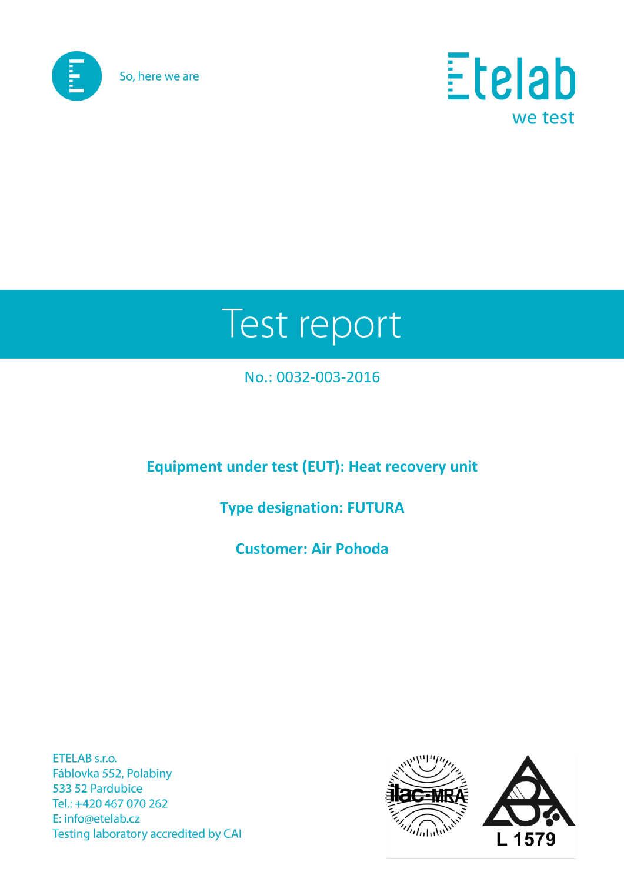



# Test report

## No.: 0032-003-2016

## **Equipment under test (EUT): Heat recovery unit**

## **Type designation: FUTURA**

**Customer: Air Pohoda**

ETELAB s.r.o. Fáblovka 552, Polabiny 533 52 Pardubice Tel.: +420 467 070 262 E: info@etelab.cz Testing laboratory accredited by CAI

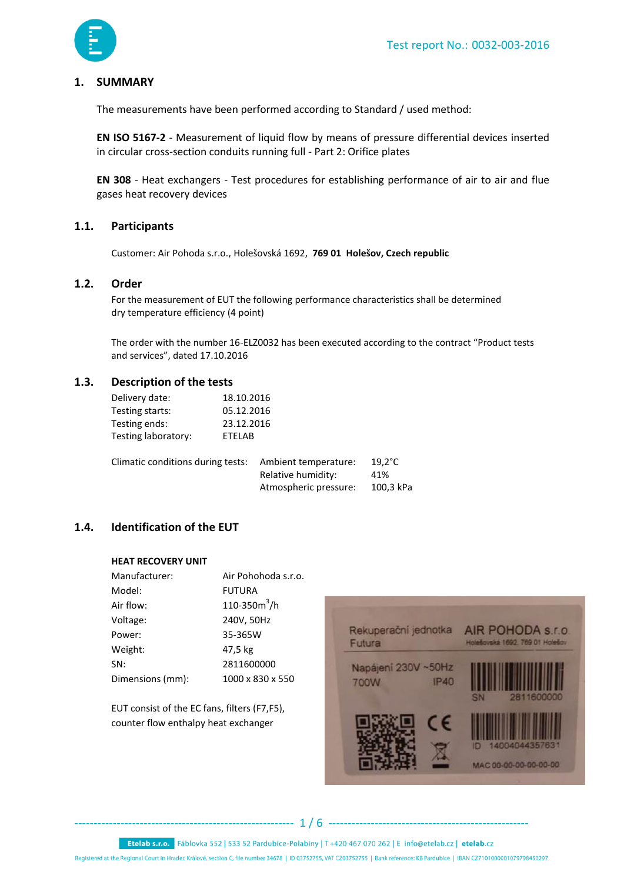

#### **1. SUMMARY**

The measurements have been performed according to Standard / used method:

**EN ISO 5167-2** - Measurement of liquid flow by means of pressure differential devices inserted in circular cross-section conduits running full - Part 2: Orifice plates

**EN 308** - Heat exchangers - Test procedures for establishing performance of air to air and flue gases heat recovery devices

#### **1.1. Participants**

Customer: Air Pohoda s.r.o., Holešovská 1692, **769 01 Holešov, Czech republic**

#### **1.2. Order**

For the measurement of EUT the following performance characteristics shall be determined dry temperature efficiency (4 point)

The order with the number 16-ELZ0032 has been executed according to the contract "Product tests and services", dated 17.10.2016

#### **1.3. Description of the tests**

| Delivery date:      | 18.10.2016    |
|---------------------|---------------|
| Testing starts:     | 05.12.2016    |
| Testing ends:       | 23.12.2016    |
| Testing laboratory: | <b>FTFLAB</b> |
|                     |               |

| Climatic conditions during tests: | Ambient temperature:  | $19.2^{\circ}$ C |
|-----------------------------------|-----------------------|------------------|
|                                   | Relative humidity:    | 41%              |
|                                   | Atmospheric pressure: | 100,3 kPa        |

#### **1.4. Identification of the EUT**

#### **HEAT RECOVERY UNIT**

| Manufacturer:    | Air Pohohoda s.r.o. |
|------------------|---------------------|
| Model:           | <b>FUTURA</b>       |
| Air flow:        | 110-350 $m^3/h$     |
| Voltage:         | 240V, 50Hz          |
| Power:           | 35-365W             |
| Weight:          | 47,5 kg             |
| SN:              | 2811600000          |
| Dimensions (mm): | 1000 x 830 x 550    |

EUT consist of the EC fans, filters (F7,F5), counter flow enthalpy heat exchanger



--------------------------------------------------------- 1 / 6 ----------------------------------------------------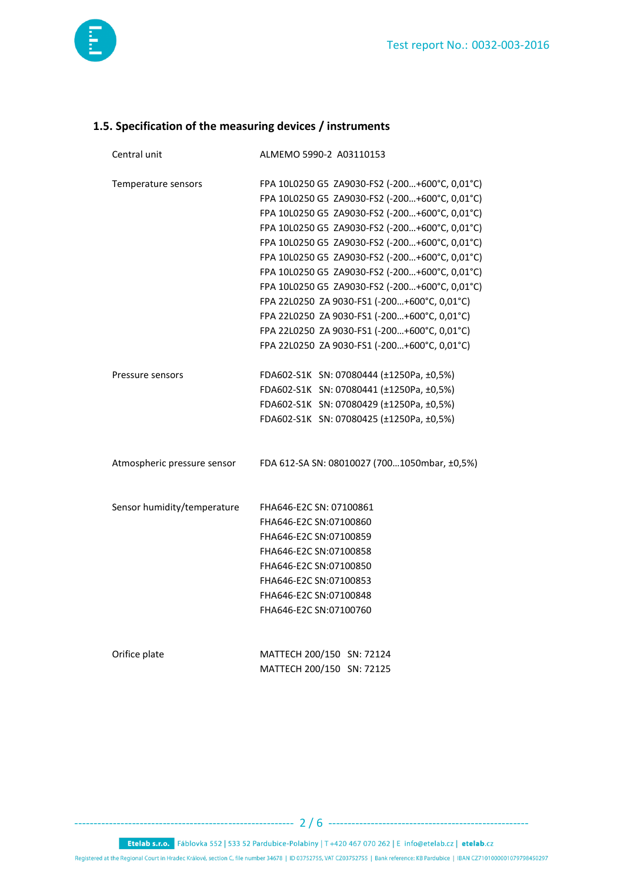

### **1.5. Specification of the measuring devices / instruments**

| Central unit                | ALMEMO 5990-2 A03110153                        |  |  |  |  |  |
|-----------------------------|------------------------------------------------|--|--|--|--|--|
| Temperature sensors         | FPA 10L0250 G5 ZA9030-FS2 (-200+600°C, 0,01°C) |  |  |  |  |  |
|                             | FPA 10L0250 G5 ZA9030-FS2 (-200+600°C, 0,01°C) |  |  |  |  |  |
|                             | FPA 10L0250 G5 ZA9030-FS2 (-200+600°C, 0,01°C) |  |  |  |  |  |
|                             | FPA 10L0250 G5 ZA9030-FS2 (-200+600°C, 0,01°C) |  |  |  |  |  |
|                             | FPA 10L0250 G5 ZA9030-FS2 (-200+600°C, 0,01°C) |  |  |  |  |  |
|                             | FPA 10L0250 G5 ZA9030-FS2 (-200+600°C, 0,01°C) |  |  |  |  |  |
|                             | FPA 10L0250 G5 ZA9030-FS2 (-200+600°C, 0,01°C) |  |  |  |  |  |
|                             | FPA 10L0250 G5 ZA9030-FS2 (-200+600°C, 0,01°C) |  |  |  |  |  |
|                             | FPA 22L0250 ZA 9030-FS1 (-200+600°C, 0,01°C)   |  |  |  |  |  |
|                             | FPA 22L0250 ZA 9030-FS1 (-200+600°C, 0,01°C)   |  |  |  |  |  |
|                             | FPA 22L0250 ZA 9030-FS1 (-200+600°C, 0,01°C)   |  |  |  |  |  |
|                             | FPA 22L0250 ZA 9030-FS1 (-200+600°C, 0,01°C)   |  |  |  |  |  |
| Pressure sensors            | FDA602-S1K SN: 07080444 (±1250Pa, ±0,5%)       |  |  |  |  |  |
|                             | FDA602-S1K SN: 07080441 (±1250Pa, ±0,5%)       |  |  |  |  |  |
|                             | FDA602-S1K SN: 07080429 (±1250Pa, ±0,5%)       |  |  |  |  |  |
|                             | FDA602-S1K SN: 07080425 (±1250Pa, ±0,5%)       |  |  |  |  |  |
| Atmospheric pressure sensor | FDA 612-SA SN: 08010027 (7001050mbar, ±0,5%)   |  |  |  |  |  |
| Sensor humidity/temperature | FHA646-E2C SN: 07100861                        |  |  |  |  |  |
|                             | FHA646-E2C SN:07100860                         |  |  |  |  |  |
|                             | FHA646-E2C SN:07100859                         |  |  |  |  |  |
|                             | FHA646-E2C SN:07100858                         |  |  |  |  |  |
|                             | FHA646-E2C SN:07100850                         |  |  |  |  |  |
|                             | FHA646-E2C SN:07100853                         |  |  |  |  |  |
|                             | FHA646-E2C SN:07100848                         |  |  |  |  |  |
|                             | FHA646-E2C SN:07100760                         |  |  |  |  |  |
|                             |                                                |  |  |  |  |  |
| Orifice plate               | MATTECH 200/150 SN: 72124                      |  |  |  |  |  |
|                             | MATTECH 200/150 SN: 72125                      |  |  |  |  |  |

--------------------------------------------------------- 2 / 6 ----------------------------------------------------

Etelab s.r.o. Fáblovka 552 | 533 52 Pardubice-Polabiny | T +420 467 070 262 | E info@etelab.cz | etelab.cz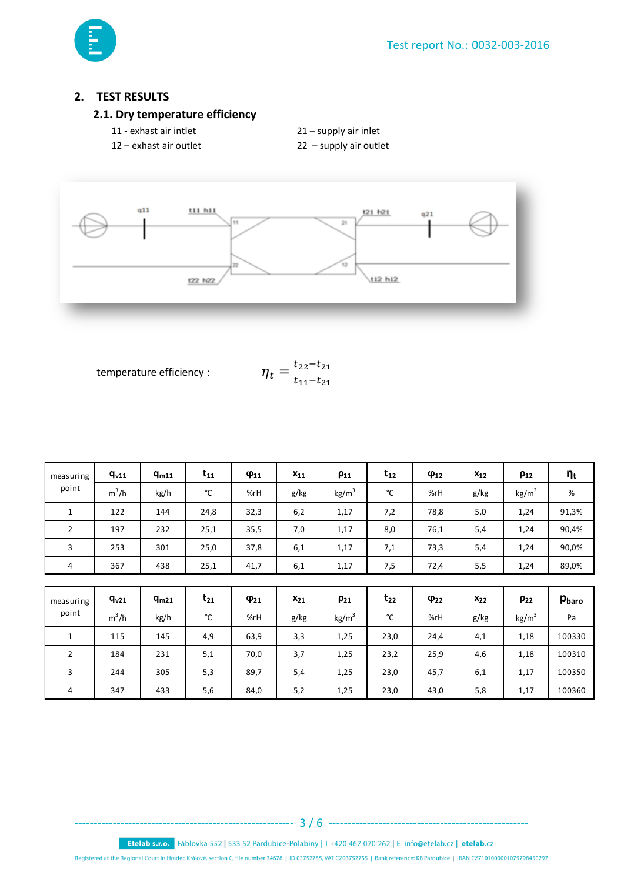

#### **2. TEST RESULTS**

#### **2.1. Dry temperature efficiency**

- 11 exhast air intlet 21 supply air inlet
- 12 exhast air outlet 22 supply air outlet
- 
- 



temperature efficiency :

$$
\eta_t = \frac{t_{22} - t_{21}}{t_{11} - t_{21}}
$$

| $q_{v11}$ | $q_{m11}$ | $t_{11}$ | $\varphi_{11}$ | $x_{11}$ | $\rho_{11}$     | $t_{12}$ | $\varphi_{12}$ | $x_{12}$ | $\rho_{12}$       | $\eta_{\rm t}$ |
|-----------|-----------|----------|----------------|----------|-----------------|----------|----------------|----------|-------------------|----------------|
| $m^3/h$   | kg/h      | °C       | %rH            | g/kg     | $\text{kg/m}^3$ | °C       | %rH            | g/kg     | kg/m <sup>3</sup> | $\%$           |
| 122       | 144       | 24,8     | 32,3           | 6,2      | 1,17            | 7,2      | 78,8           | 5,0      | 1,24              | 91,3%          |
| 197       | 232       | 25,1     | 35,5           | 7,0      | 1,17            | 8,0      | 76,1           | 5,4      | 1,24              | 90,4%          |
| 253       | 301       | 25,0     | 37,8           | 6,1      | 1,17            | 7,1      | 73,3           | 5,4      | 1,24              | 90,0%          |
| 367       | 438       | 25,1     | 41,7           | 6,1      | 1,17            | 7,5      | 72,4           | 5,5      | 1,24              | 89,0%          |
|           |           |          |                |          |                 |          |                |          |                   |                |
| $q_{v21}$ | $q_{m21}$ | $t_{21}$ | $\varphi_{21}$ | $x_{21}$ | $\rho_{21}$     | $t_{22}$ | $\varphi_{22}$ | $x_{22}$ | $\rho_{22}$       | Pbaro          |
| $m^3/h$   | kg/h      | °C       | %rH            | g/kg     | $\text{kg/m}^3$ | °C       | %rH            | g/kg     | kg/m <sup>3</sup> | Pa             |
| 115       | 145       | 4,9      | 63,9           | 3,3      | 1,25            | 23,0     | 24,4           | 4,1      | 1,18              | 100330         |
| 184       | 231       | 5,1      | 70,0           | 3,7      | 1,25            | 23,2     | 25,9           | 4,6      | 1,18              | 100310         |
| 244       | 305       | 5,3      | 89,7           | 5,4      | 1,25            | 23,0     | 45,7           | 6,1      | 1,17              | 100350         |
|           |           |          |                |          |                 |          |                |          |                   |                |

4 | 347 | 433 | 5,6 | 84,0 | 5,2 | 1,25 | 23,0 | 43,0 | 5,8 | 1,17 | 100360

Etelab s.r.o. Fáblovka 552 | 533 52 Pardubice-Polabiny | T +420 467 070 262 | E info@etelab.cz | etelab.cz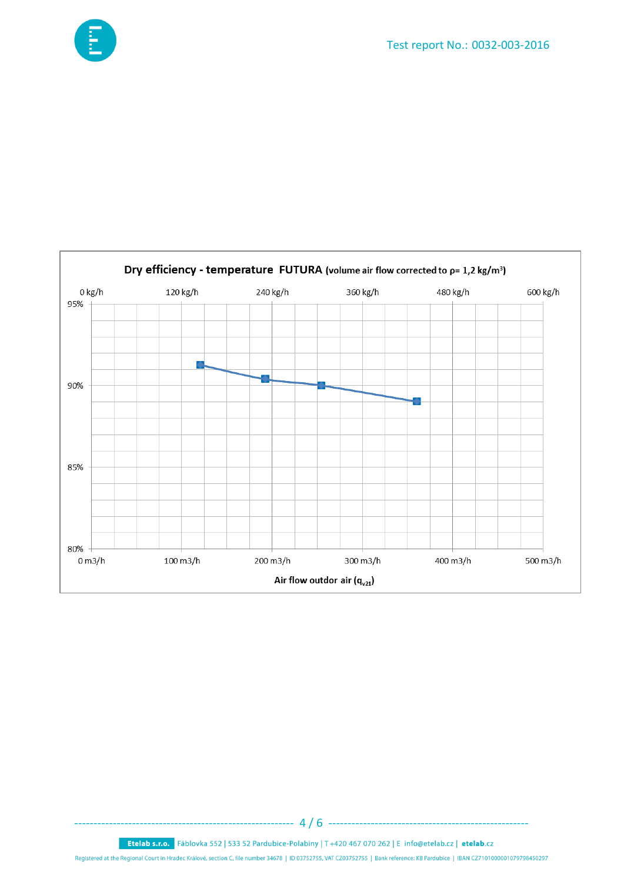



Etelab s.r.o. Fáblovka 552 | 533 52 Pardubice-Polabiny | T +420 467 070 262 | E info@etelab.cz | etelab.cz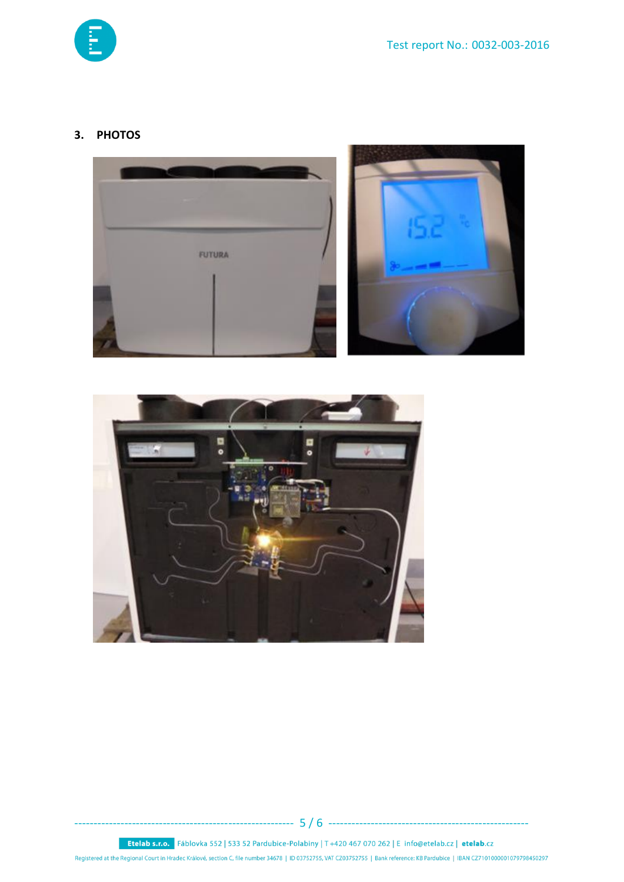

#### 3. PHOTOS







Etelab s.r.o. Fáblovka 552 | 533 52 Pardubice-Polabiny | T +420 467 070 262 | E info@etelab.cz | etelab.cz Registered at the Regional Court in Hradec Králové, section C, file number 34678 | ID 03752755, VAT CZ03752755 | Bank reference: KB Pardubice | IBAN CZ7101000001079798450297